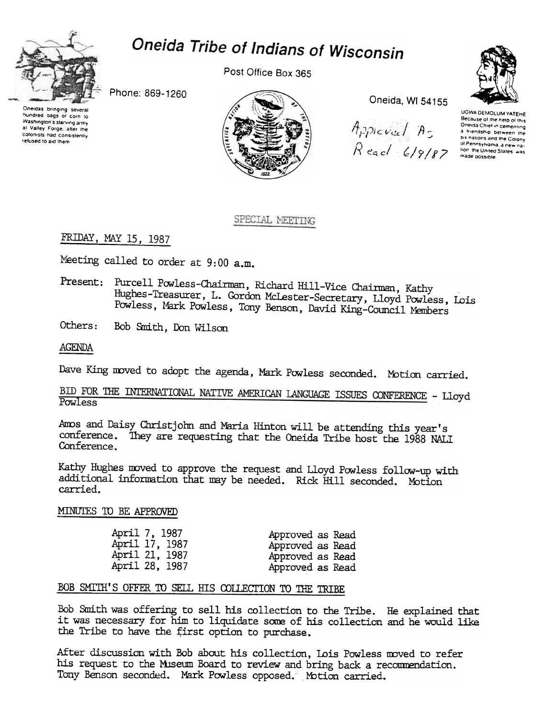

# Oneida Tribe of Indians of Wisconsin

Post Office Box 365

Phone: 869-1260

Oneidas bringing several hundred bags of corn to Washington's starving army at Valley Forge, after the colonists had consistently refused to aid them



Oneida, WI 54155

 $A$ ppicval  $A_5$  $Resol(G/9/87)$ 

UGWA DEMOLUM YATEHE Because of the help of this Oneida Chief in cementing a friendship between the six nations and the Colony<br>of Pennsylvania, a new nahon the United States, was made possible

#### SPECIAL MEETING

FRIDAY, MAY 15, 1987

Meeting called to order at 9:00 a.m.

Present: Purcell Powless-Chairman, Richard Hill-Vice Chairman, Kathy Hughes-Treasurer, L. Gordon McLester-Secretary, Lloyd Powless, Lois Powless, Mark Powless, Tony Benson, David King-Council Members

Others: Bob Smith, Don Wilson

AGENDA

Dave King moved to adopt the agenda, Mark Powless seconded. Motion carried.

#### BID FOR THE INTERNATIONAL NATIVE AMERICAN LANGUAGE ISSUES CONFERENCE - Lloyd Powless

Amos and Daisy Christjohn and Maria Hinton will be attending this year's conference. They are requesting that the Oneida Tribe host the 1988 NALI Conference.

Kathy Hughes moved to approve the request and Lloyd Powless follow-up with additional information that may be needed. Rick Hill seconded. Motion carried.

#### MINUTES TO BE APPROVED

| April 7, 1987  | Approved as Read |
|----------------|------------------|
| April 17, 1987 | Approved as Read |
| April 21, 1987 | Approved as Read |
| April 28, 1987 | Approved as Read |

#### BOB SMITH'S OFFER TO SELL HIS COLLECTION TO THE TRIBE

Bob Smith was offering to sell his collection to the Tribe. He explained that it was necessary for him to liquidate some of his collection and he would like the Tribe to have the first option to purchase.

After discussion with Bob about his collection, Lois Powless moved to refer his request to the Museum Board to review and bring back a recommendation. Tony Benson seconded. Mark Powless opposed. Motion carried.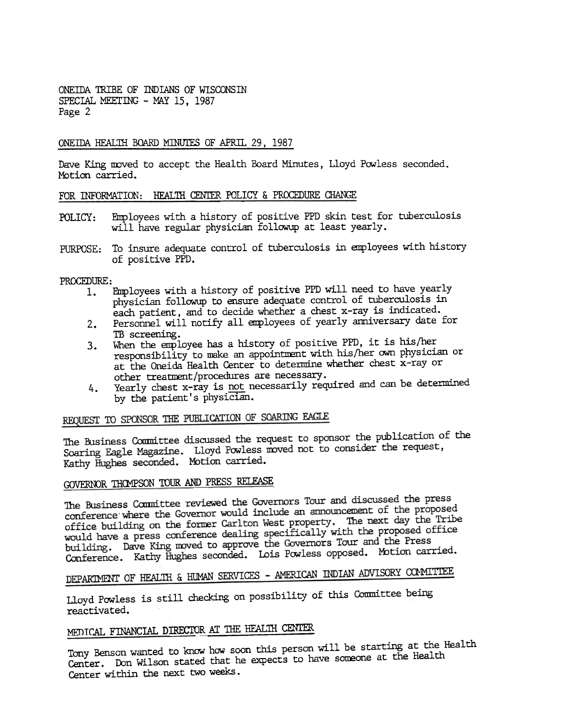ONEIDA TRIBE OF INDIANS OF WISCONSIN SPECIAL MEETING - MAY 15, 1987 Page 2

#### ONEIDA HEALTH BOARD MINUTES OF APRIL 29, 1987

Dave King moved to accept the Health Board Minutes, Lloyd Powless seconded. Motion carried.

#### FOR INFORMATION: HEALTH CENTER POLICY & PROCEDURE CHANGE

- Employees with a history of positive PFD skin test for tuberculosis POLICY: will have regular physician followup at least yearly.
- To insure adequate control of tuberculosis in employees with history of positive PPD. PURPOSE:

PROCEDURE:

- 1. Employees with a history of positive PPD will need to have yearly physician follow p to ensure adequate control of tuberculosis in each patient, and to decide whether a chest x-ray is indicated.
- Personnel will notify all employees of yearly anniversary date for  $2.$ TB screening.
- When the employee has a history of positive PPD, it is his/her  $3.$ responsibility to make an appointment with his/her own physician or at the Oneida Health Center to determine whether chest x-ray or other treatment/procedures are necessary.
- Yearly chest x-ray is not necessarily required and can be determined 4. by the patient's physician.

## REQUEST TO SPONSOR THE PUBLICATION OF SOARING EAGLE

The Business Committee discussed the request to sponsor the publication of the Soaring Eagle Magazine. Lloyd Powless moved not to consider the request, Kathy Hughes seconded. Motion carried.

## GOVERNOR THOMPSON TOUR AND PRESS RELEASE

The Business Committee reviewed the Governors Tour and discussed the press The Business Committee reviewed the Governors four and diseased all proposed<br>conference where the Governor would include an announcement of the proposed conference where the Governor would include an unionisement of day the Tribe<br>office building on the former Carlton West property. The next day the Tribe office building on the former Carlton west property. The next car can be reposed<br>would have a press conference dealing specifically with the proposed office<br>would have a press conference dealing specifically with the propo would have a press conference dealing specifically when the pre-<br>building. Dave King moved to approve the Governors Tour and the Press building. Dave King moved to approve the evverifiers four three movies.<br>Conference. Kathy Hughes seconded. Lois Powless opposed. Motion carried.

# DEPARTMENT OF HEALTH & HUMAN SERVICES - AMERICAN INDIAN ADVISORY COMMITTEE

Lloyd Powless is still checking on possibility of this Committee being reactivated.

# MEDICAL FINANCIAL DIRECTOR AT THE HEALTH CENTER

Tony Benson wanted to know how soon this person will be starting at the Health Center. Don Wilson stated that he expects to have someone at the Health Center within the next two weeks.